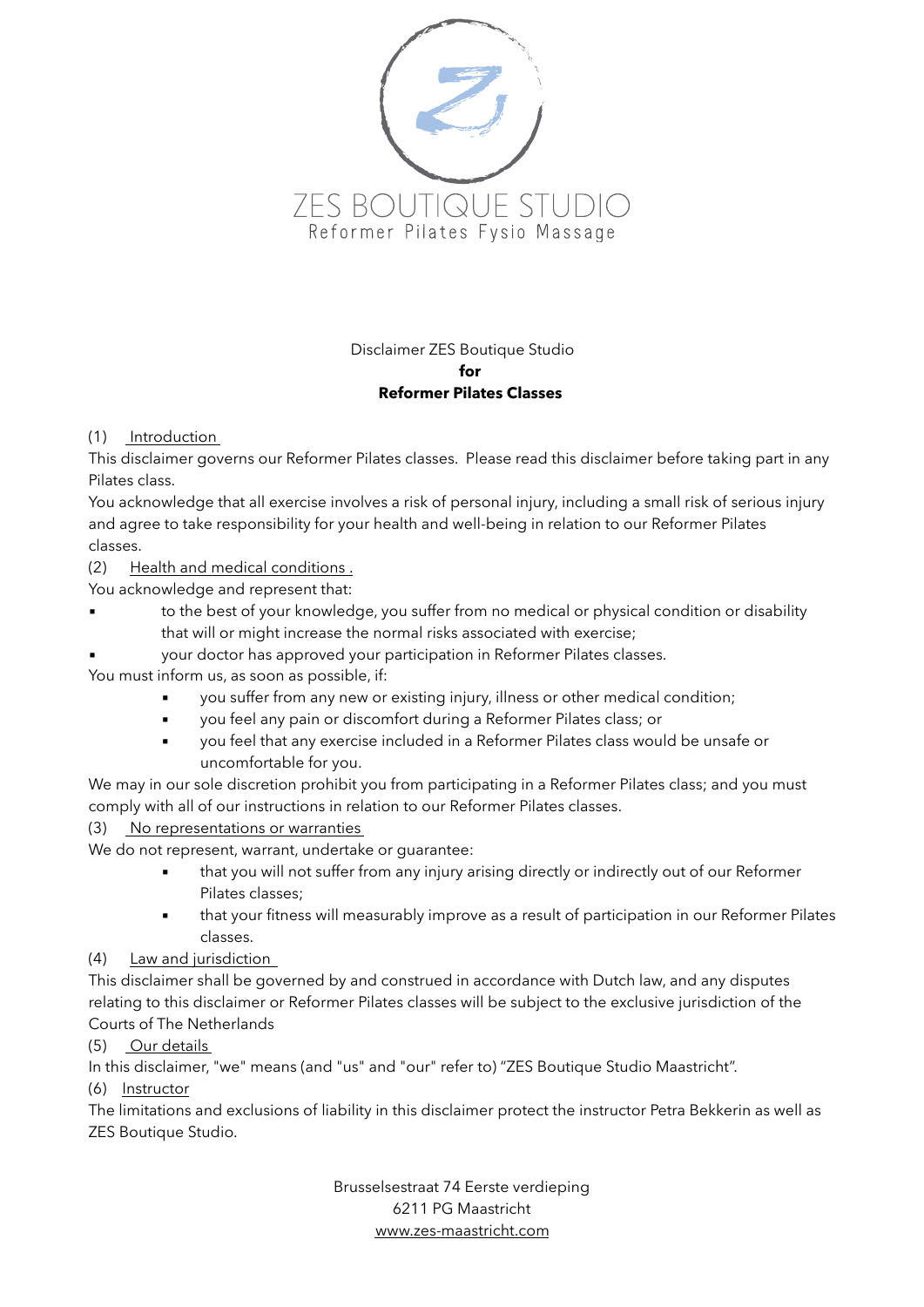

Disclaimer ZES Boutique Studio  **for Reformer Pilates Classes** 

## (1) Introduction

This disclaimer governs our Reformer Pilates classes. Please read this disclaimer before taking part in any Pilates class.

You acknowledge that all exercise involves a risk of personal injury, including a small risk of serious injury and agree to take responsibility for your health and well-being in relation to our Reformer Pilates classes.

(2) Health and medical conditions .

You acknowledge and represent that:

**•** to the best of your knowledge, you suffer from no medical or physical condition or disability that will or might increase the normal risks associated with exercise;

your doctor has approved your participation in Reformer Pilates classes.

You must inform us, as soon as possible, if:

- you suffer from any new or existing injury, illness or other medical condition;
- you feel any pain or discomfort during a Reformer Pilates class; or
- you feel that any exercise included in a Reformer Pilates class would be unsafe or uncomfortable for you.

We may in our sole discretion prohibit you from participating in a Reformer Pilates class; and you must comply with all of our instructions in relation to our Reformer Pilates classes.

## (3) No representations or warranties

We do not represent, warrant, undertake or guarantee:

- that you will not suffer from any injury arising directly or indirectly out of our Reformer Pilates classes;
- that your fitness will measurably improve as a result of participation in our Reformer Pilates classes.

## (4) Law and jurisdiction

This disclaimer shall be governed by and construed in accordance with Dutch law, and any disputes relating to this disclaimer or Reformer Pilates classes will be subject to the exclusive jurisdiction of the Courts of The Netherlands

## (5) Our details

In this disclaimer, "we" means (and "us" and "our" refer to) "ZES Boutique Studio Maastricht".

(6) Instructor

The limitations and exclusions of liability in this disclaimer protect the instructor Petra Bekkerin as well as ZES Boutique Studio.

> Brusselsestraat 74 Eerste verdieping 6211 PG Maastricht [www.zes-maastricht.com](http://www.zes-maastricht.com)